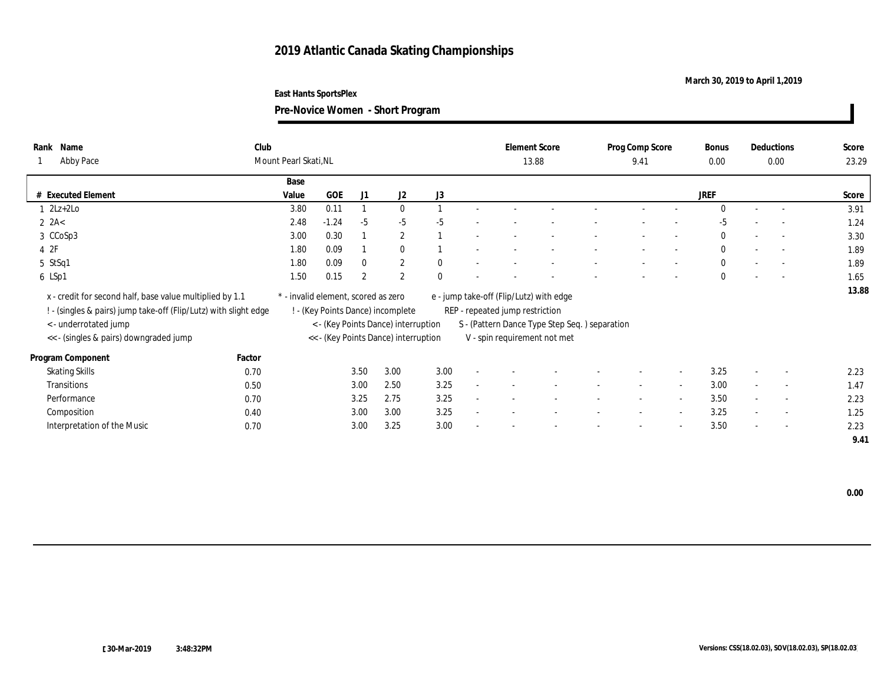### **March 30, 2019 to April 1,2019**

**East Hants SportsPlex**

| Rank<br>Name<br><b>Abby Pace</b>                                                                                           | Club<br>Mount Pearl Skati, NL       |         |                |                                      |              |        | <b>Element Score</b>                                                       | 13.88                                         |        | Prog Comp Score<br>9.41  |                          | <b>Bonus</b><br>0.00 |                          | Deductions<br>0.00       | Score<br>23.29 |
|----------------------------------------------------------------------------------------------------------------------------|-------------------------------------|---------|----------------|--------------------------------------|--------------|--------|----------------------------------------------------------------------------|-----------------------------------------------|--------|--------------------------|--------------------------|----------------------|--------------------------|--------------------------|----------------|
|                                                                                                                            | Base                                |         |                |                                      |              |        |                                                                            |                                               |        |                          |                          |                      |                          |                          |                |
| # Executed Element                                                                                                         | Value                               | GOE     | J1             | J2                                   | J3           |        |                                                                            |                                               |        |                          |                          | <b>JREF</b>          |                          |                          | Score          |
| 1 2Lz+2Lo                                                                                                                  | 3.80                                | 0.11    |                | $\mathbf{0}$                         |              |        |                                                                            |                                               |        |                          |                          | $\mathbf{0}$         | $\sim$                   | $\sim$                   | 3.91           |
| $2$ $2A<$                                                                                                                  | 2.48                                | $-1.24$ | $-5$           | $-5$                                 | $-5$         |        |                                                                            |                                               |        |                          |                          | -5                   |                          |                          | 1.24           |
| 3 CCoSp3                                                                                                                   | 3.00                                | 0.30    |                | $\mathbf{2}$                         |              |        |                                                                            |                                               |        |                          |                          | $\bf{0}$             |                          | $\overline{\phantom{a}}$ | 3.30           |
| 4 2F                                                                                                                       | 1.80                                | 0.09    |                | $\mathbf{0}$                         |              |        |                                                                            |                                               |        |                          |                          | $\mathbf{0}$         | $\overline{\phantom{a}}$ | $\sim$                   | 1.89           |
| 5 StSq1                                                                                                                    | 1.80                                | 0.09    | $\bf{0}$       | $\mathbf{2}$                         | $\mathbf{0}$ |        |                                                                            |                                               |        |                          |                          | $\mathbf{0}$         |                          | $\sim$                   | 1.89           |
| 6 LSp1                                                                                                                     | 1.50                                | 0.15    | $\overline{2}$ | $\overline{2}$                       | $\mathbf{0}$ |        |                                                                            |                                               |        |                          |                          | $\mathbf{0}$         | $\overline{\phantom{a}}$ |                          | 1.65           |
| x - credit for second half, base value multiplied by 1.1<br>. (singles & pairs) jump take-off (Flip/Lutz) with slight edge | * - invalid element, scored as zero |         |                | ! - (Key Points Dance) incomplete    |              |        | e - jump take-off (Flip/Lutz) with edge<br>REP - repeated jump restriction |                                               |        |                          |                          |                      |                          |                          | 13.88          |
| <- underrotated jump                                                                                                       |                                     |         |                | < - (Key Points Dance) interruption  |              |        |                                                                            | S - (Pattern Dance Type Step Seq.) separation |        |                          |                          |                      |                          |                          |                |
| << - (singles & pairs) downgraded jump                                                                                     |                                     |         |                | << - (Key Points Dance) interruption |              |        |                                                                            | V - spin requirement not met                  |        |                          |                          |                      |                          |                          |                |
| Factor<br>Program Component                                                                                                |                                     |         |                |                                      |              |        |                                                                            |                                               |        |                          |                          |                      |                          |                          |                |
| <b>Skating Skills</b><br>0.70                                                                                              |                                     |         | 3.50           | 3.00                                 | 3.00         | $\sim$ |                                                                            |                                               |        |                          | $\overline{a}$           | 3.25                 | $\sim$                   | $\overline{\phantom{a}}$ | 2.23           |
| Transitions<br>0.50                                                                                                        |                                     |         | 3.00           | 2.50                                 | 3.25         |        |                                                                            |                                               |        | $\overline{\phantom{a}}$ | $\sim$                   | 3.00                 | $\sim$                   | $\overline{\phantom{a}}$ | 1.47           |
| Performance<br>0.70                                                                                                        |                                     |         | 3.25           | 2.75                                 | 3.25         |        | $\overline{\phantom{a}}$                                                   |                                               | $\sim$ | $\sim$                   | $\sim$                   | 3.50                 | $\sim$                   | $\sim$                   | 2.23           |
| Composition<br>0.40                                                                                                        |                                     |         | 3.00           | 3.00                                 | 3.25         |        |                                                                            |                                               |        |                          | $\sim$                   | 3.25                 |                          | $\overline{\phantom{a}}$ | 1.25           |
| Interpretation of the Music<br>0.70                                                                                        |                                     |         | 3.00           | 3.25                                 | 3.00         |        |                                                                            |                                               |        | -                        | $\overline{\phantom{a}}$ | 3.50                 | $\sim$                   | $\overline{\phantom{a}}$ | 2.23           |
|                                                                                                                            |                                     |         |                |                                      |              |        |                                                                            |                                               |        |                          |                          |                      |                          |                          | 9.41           |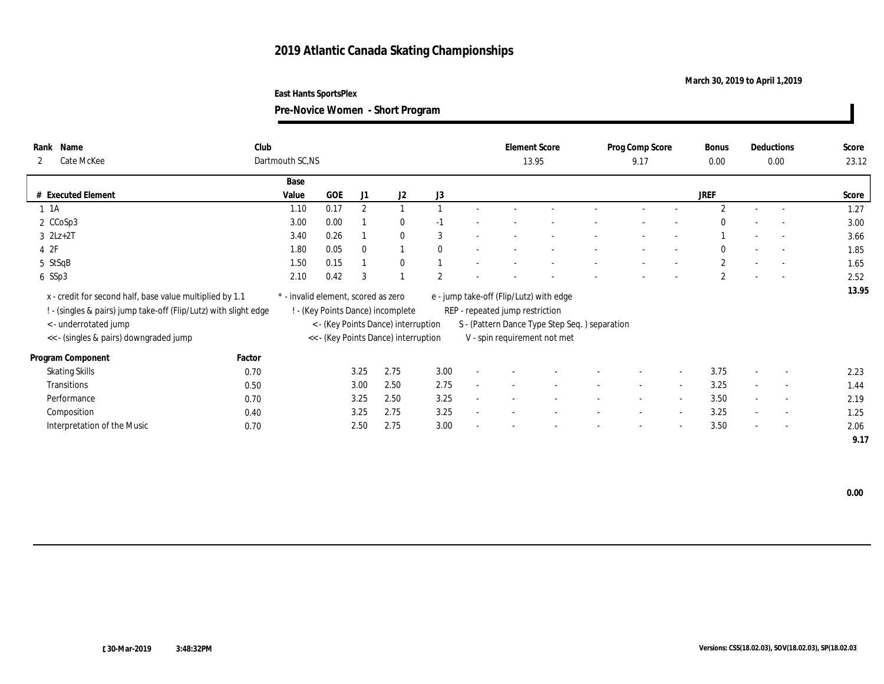### **March 30, 2019 to April 1,2019**

**Pre-Novice Women - Short Program**

| Name<br>Rank<br>Cate McKee<br>$\mathbf{2}$                                                                                   | Club   | Dartmouth SC,NS                     |            |          |                                      |              |        |                                                                            | <b>Element Score</b><br>13.95                 |        | Prog Comp Score<br>9.17  |                          | Bonus<br>0.00  |        | Deductions<br>0.00       | Score<br>23.12 |
|------------------------------------------------------------------------------------------------------------------------------|--------|-------------------------------------|------------|----------|--------------------------------------|--------------|--------|----------------------------------------------------------------------------|-----------------------------------------------|--------|--------------------------|--------------------------|----------------|--------|--------------------------|----------------|
|                                                                                                                              |        | Base                                |            |          |                                      |              |        |                                                                            |                                               |        |                          |                          |                |        |                          |                |
| # Executed Element                                                                                                           |        | Value                               | <b>GOE</b> | J1       | J2                                   | J3           |        |                                                                            |                                               |        |                          |                          | <b>JREF</b>    |        |                          | Score          |
| $1 \t1A$                                                                                                                     |        | 1.10                                | 0.17       | 2        |                                      |              |        |                                                                            |                                               |        |                          |                          | $\overline{2}$ |        | $\overline{a}$           | 1.27           |
| 2 CCoSp3                                                                                                                     |        | 3.00                                | 0.00       |          | $\bf{0}$                             | $-1$         |        |                                                                            |                                               |        |                          |                          | $\Omega$       |        | $\overline{\phantom{a}}$ | 3.00           |
| $3$ $2Lz+2T$                                                                                                                 |        | 3.40                                | 0.26       |          | $\mathbf{0}$                         | 3            |        |                                                                            |                                               |        |                          |                          |                |        | $\sim$                   | 3.66           |
| 42F                                                                                                                          |        | 1.80                                | 0.05       | $\theta$ |                                      | $\mathbf{0}$ |        |                                                                            |                                               |        |                          |                          | $\bf{0}$       |        | $\sim$                   | 1.85           |
| 5 StSqB                                                                                                                      |        | 1.50                                | 0.15       |          | $\bf{0}$                             |              |        |                                                                            |                                               |        |                          |                          | $\mathbf{2}$   |        |                          | 1.65           |
| 6 SSp3                                                                                                                       |        | 2.10                                | 0.42       | 3        |                                      | $\mathbf{2}$ |        |                                                                            |                                               |        |                          |                          | $\mathbf{2}$   |        | $\overline{\phantom{a}}$ | 2.52           |
| x - credit for second half, base value multiplied by 1.1<br>! - (singles & pairs) jump take-off (Flip/Lutz) with slight edge |        | * - invalid element, scored as zero |            |          | ! - (Key Points Dance) incomplete    |              |        | e - jump take-off (Flip/Lutz) with edge<br>REP - repeated jump restriction |                                               |        |                          |                          |                |        |                          | 13.95          |
| < - underrotated jump                                                                                                        |        |                                     |            |          | < - (Key Points Dance) interruption  |              |        |                                                                            | S - (Pattern Dance Type Step Seq.) separation |        |                          |                          |                |        |                          |                |
| << - (singles & pairs) downgraded jump                                                                                       |        |                                     |            |          | << - (Key Points Dance) interruption |              |        |                                                                            | V - spin requirement not met                  |        |                          |                          |                |        |                          |                |
| Program Component                                                                                                            | Factor |                                     |            |          |                                      |              |        |                                                                            |                                               |        |                          |                          |                |        |                          |                |
| <b>Skating Skills</b>                                                                                                        | 0.70   |                                     |            | 3.25     | 2.75                                 | 3.00         | $\sim$ |                                                                            |                                               |        |                          | $\sim$                   | 3.75           |        | $\overline{\phantom{a}}$ | 2.23           |
| <b>Transitions</b>                                                                                                           | 0.50   |                                     |            | 3.00     | 2.50                                 | 2.75         |        |                                                                            |                                               |        |                          | $\sim$                   | 3.25           | $\sim$ | $\overline{\phantom{a}}$ | 1.44           |
| Performance                                                                                                                  | 0.70   |                                     |            | 3.25     | 2.50                                 | 3.25         |        |                                                                            |                                               | $\sim$ | $\overline{\phantom{a}}$ | $\sim$                   | 3.50           | $\sim$ | $\sim$                   | 2.19           |
| Composition                                                                                                                  | 0.40   |                                     |            | 3.25     | 2.75                                 | 3.25         |        |                                                                            |                                               |        |                          | $\sim$                   | 3.25           |        | $\sim$                   | 1.25           |
| Interpretation of the Music                                                                                                  | 0.70   |                                     |            | 2.50     | 2.75                                 | 3.00         |        |                                                                            |                                               |        | -                        | $\overline{\phantom{a}}$ | 3.50           | $\sim$ | $\sim$                   | 2.06           |
|                                                                                                                              |        |                                     |            |          |                                      |              |        |                                                                            |                                               |        |                          |                          |                |        |                          | 9.17           |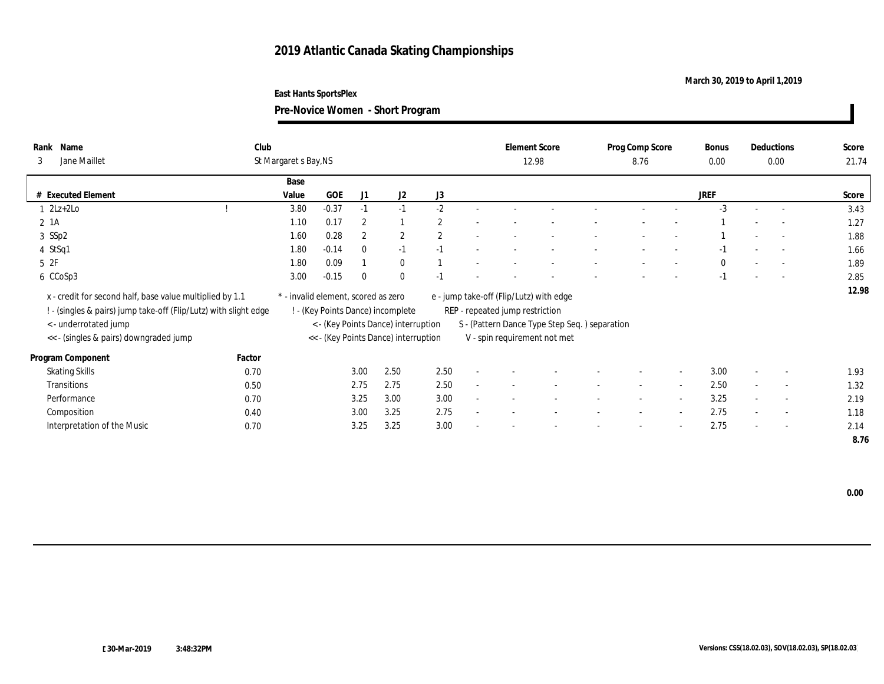### **March 30, 2019 to April 1,2019**

**East Hants SportsPlex**

| Rank<br>3 | Name<br>Jane Maillet                                                                                                                                  | Club<br>St Margaret s Bay, NS |                                     |                |                                                                          |                |        | <b>Element Score</b>            | 12.98                                                                                    | Prog Comp Score<br>8.76  |                          | Bonus<br>$0.00\,$ |                          | Deductions<br>0.00       | Score<br>21.74 |
|-----------|-------------------------------------------------------------------------------------------------------------------------------------------------------|-------------------------------|-------------------------------------|----------------|--------------------------------------------------------------------------|----------------|--------|---------------------------------|------------------------------------------------------------------------------------------|--------------------------|--------------------------|-------------------|--------------------------|--------------------------|----------------|
|           |                                                                                                                                                       | Base                          |                                     |                |                                                                          |                |        |                                 |                                                                                          |                          |                          |                   |                          |                          |                |
|           | # Executed Element                                                                                                                                    | Value                         | <b>GOE</b>                          | J1             | J <sub>2</sub>                                                           | J3             |        |                                 |                                                                                          |                          |                          | <b>JREF</b>       |                          |                          | Score          |
|           | $2Lz+2Lo$                                                                                                                                             | 3.80                          | $-0.37$                             | $-1$           | $-1$                                                                     | $-2$           |        |                                 |                                                                                          |                          |                          | $-3$              |                          | $\overline{\phantom{a}}$ | 3.43           |
|           | 2 1A                                                                                                                                                  | 1.10                          | 0.17                                | $\overline{2}$ |                                                                          | $\overline{2}$ |        |                                 |                                                                                          |                          |                          |                   |                          |                          | 1.27           |
|           | 3 SSp2                                                                                                                                                | 1.60                          | 0.28                                | $\overline{2}$ | $\mathbf{2}$                                                             | $\overline{2}$ |        |                                 |                                                                                          |                          |                          |                   |                          | $\overline{\phantom{a}}$ | 1.88           |
|           | 4 StSq1                                                                                                                                               | 1.80                          | $-0.14$                             | $\theta$       | $-1$                                                                     | $-1$           |        |                                 |                                                                                          |                          |                          | $-1$              |                          | $\overline{\phantom{a}}$ | 1.66           |
|           | 5 2F                                                                                                                                                  | 1.80                          | 0.09                                |                | $\mathbf{0}$                                                             |                |        |                                 |                                                                                          |                          |                          | $\mathbf{0}$      |                          | $\overline{\phantom{a}}$ | 1.89           |
|           | 6 CCoSp3                                                                                                                                              | 3.00                          | $-0.15$                             | $\theta$       | $\mathbf{0}$                                                             | $-1$           |        |                                 |                                                                                          |                          |                          | $-1$              | $\overline{\phantom{a}}$ | $\overline{\phantom{a}}$ | 2.85           |
|           | x - credit for second half, base value multiplied by 1.1<br>! - (singles & pairs) jump take-off (Flip/Lutz) with slight edge<br>< - underrotated jump |                               | * - invalid element, scored as zero |                | ! - (Key Points Dance) incomplete<br>< - (Key Points Dance) interruption |                |        | REP - repeated jump restriction | e - jump take-off (Flip/Lutz) with edge<br>S - (Pattern Dance Type Step Seq.) separation |                          |                          |                   |                          |                          | 12.98          |
|           | << - (singles & pairs) downgraded jump                                                                                                                |                               |                                     |                | << - (Key Points Dance) interruption                                     |                |        |                                 | V - spin requirement not met                                                             |                          |                          |                   |                          |                          |                |
|           | Program Component                                                                                                                                     | Factor                        |                                     |                |                                                                          |                |        |                                 |                                                                                          |                          |                          |                   |                          |                          |                |
|           | <b>Skating Skills</b>                                                                                                                                 | 0.70                          |                                     | 3.00           | 2.50                                                                     | 2.50           | $\sim$ |                                 |                                                                                          | $\overline{\phantom{a}}$ | $\overline{\phantom{a}}$ | 3.00              |                          | $\overline{\phantom{a}}$ | 1.93           |
|           | Transitions                                                                                                                                           | 0.50                          |                                     | 2.75           | 2.75                                                                     | 2.50           |        |                                 |                                                                                          | $\overline{\phantom{a}}$ | $\sim$                   | 2.50              | $\sim$                   | $\overline{\phantom{a}}$ | 1.32           |
|           | Performance                                                                                                                                           | 0.70                          |                                     | 3.25           | 3.00                                                                     | 3.00           |        |                                 |                                                                                          | $\overline{\phantom{a}}$ | $\overline{\phantom{a}}$ | 3.25              | $\sim$                   | $\overline{\phantom{a}}$ | 2.19           |
|           | Composition                                                                                                                                           | 0.40                          |                                     | 3.00           | 3.25                                                                     | 2.75           |        |                                 |                                                                                          | $\overline{\phantom{a}}$ | $\sim$                   | 2.75              | $\overline{\phantom{a}}$ | $\overline{\phantom{a}}$ | 1.18           |
|           | Interpretation of the Music                                                                                                                           | 0.70                          |                                     | 3.25           | 3.25                                                                     | 3.00           | $\sim$ |                                 |                                                                                          | $\overline{\phantom{a}}$ | $\sim$                   | 2.75              | $\sim$                   | $\overline{\phantom{a}}$ | 2.14           |
|           |                                                                                                                                                       |                               |                                     |                |                                                                          |                |        |                                 |                                                                                          |                          |                          |                   |                          |                          |                |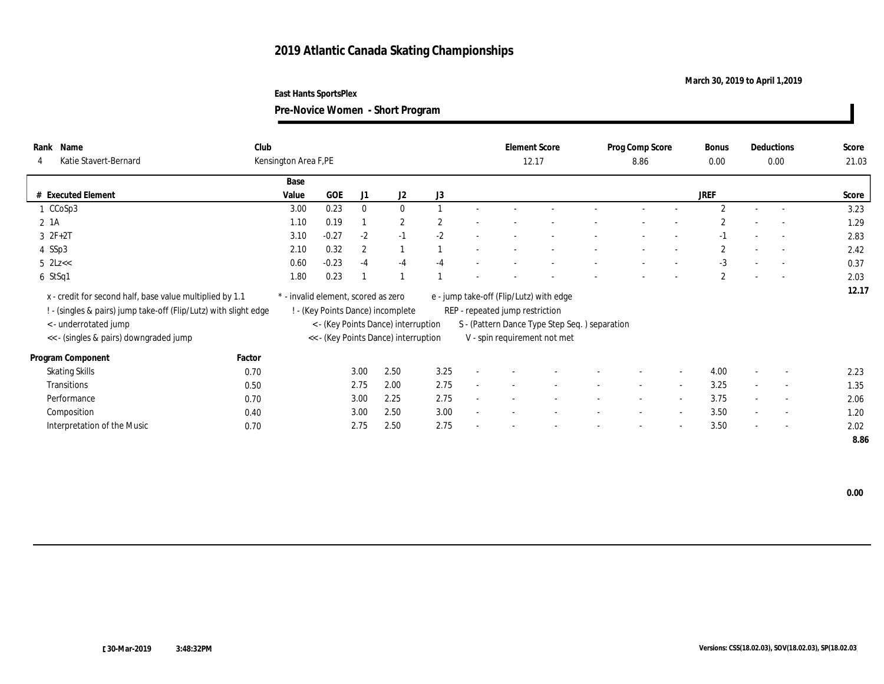### **March 30, 2019 to April 1,2019**

**East Hants SportsPlex**

| Rank<br>Name<br>Katie Stavert-Bernard                                                                                        | Club   | Kensington Area F,PE                |         |                |                                      |                |                                 | <b>Element Score</b><br>12.17                 | Prog Comp Score<br>8.86  |                          | Bonus<br>0.00  |                          | Deductions<br>0.00       | Score<br>21.03 |
|------------------------------------------------------------------------------------------------------------------------------|--------|-------------------------------------|---------|----------------|--------------------------------------|----------------|---------------------------------|-----------------------------------------------|--------------------------|--------------------------|----------------|--------------------------|--------------------------|----------------|
|                                                                                                                              |        | Base                                |         |                |                                      |                |                                 |                                               |                          |                          |                |                          |                          |                |
| # Executed Element                                                                                                           |        | Value                               | GOE     | J1             | J2                                   | J3             |                                 |                                               |                          |                          | <b>JREF</b>    |                          |                          | Score          |
| 1 CCoSp3                                                                                                                     |        | 3.00                                | 0.23    | $\mathbf{0}$   | $\mathbf{0}$                         |                |                                 |                                               |                          |                          | $\overline{2}$ |                          | $\sim$                   | 3.23           |
| $2 \; 1A$                                                                                                                    |        | 1.10                                | 0.19    |                | $\overline{2}$                       | $\overline{2}$ |                                 |                                               |                          |                          |                |                          |                          | 1.29           |
| $3 2F + 2T$                                                                                                                  |        | 3.10                                | $-0.27$ | $-2$           | $-1$                                 | $-2$           |                                 |                                               |                          |                          | $-1$           |                          | $\overline{a}$           | 2.83           |
| 4 SSp3                                                                                                                       |        | 2.10                                | 0.32    | $\overline{2}$ |                                      |                |                                 |                                               |                          |                          | $\overline{c}$ |                          | $\overline{\phantom{a}}$ | 2.42           |
| $5$ $2Lz <$                                                                                                                  |        | 0.60                                | $-0.23$ | $-4$           | $-4$                                 | $-4$           |                                 |                                               |                          |                          | $-3$           |                          | $\sim$                   | 0.37           |
| 6 StSq1                                                                                                                      |        | 1.80                                | 0.23    |                |                                      |                |                                 |                                               | $\overline{\phantom{a}}$ |                          | $\mathbf{2}$   | $\overline{\phantom{a}}$ | $\overline{\phantom{a}}$ | 2.03           |
| x - credit for second half, base value multiplied by 1.1<br>: - (singles & pairs) jump take-off (Flip/Lutz) with slight edge |        | * - invalid element, scored as zero |         |                | ! - (Key Points Dance) incomplete    |                | REP - repeated jump restriction | e - jump take-off (Flip/Lutz) with edge       |                          |                          |                |                          |                          | 12.17          |
| < - underrotated jump                                                                                                        |        |                                     |         |                | < - (Key Points Dance) interruption  |                |                                 | S - (Pattern Dance Type Step Seq.) separation |                          |                          |                |                          |                          |                |
| << - (singles & pairs) downgraded jump                                                                                       |        |                                     |         |                | << - (Key Points Dance) interruption |                |                                 | V - spin requirement not met                  |                          |                          |                |                          |                          |                |
| Program Component                                                                                                            | Factor |                                     |         |                |                                      |                |                                 |                                               |                          |                          |                |                          |                          |                |
| <b>Skating Skills</b>                                                                                                        | 0.70   |                                     |         | 3.00           | 2.50                                 | 3.25           |                                 |                                               | $\overline{\phantom{a}}$ | $\overline{\phantom{a}}$ | 4.00           |                          | $\overline{\phantom{a}}$ | 2.23           |
| <b>Transitions</b>                                                                                                           | 0.50   |                                     |         | 2.75           | 2.00                                 | 2.75           |                                 |                                               | $\overline{\phantom{a}}$ | $\sim$                   | 3.25           | $\sim$                   | $\overline{\phantom{a}}$ | 1.35           |
| Performance                                                                                                                  | 0.70   |                                     |         | 3.00           | 2.25                                 | 2.75           |                                 |                                               | $\overline{\phantom{a}}$ | $\overline{a}$           | 3.75           | $\sim$                   | $\overline{\phantom{a}}$ | 2.06           |
| Composition                                                                                                                  | 0.40   |                                     |         | 3.00           | 2.50                                 | 3.00           |                                 |                                               | $\overline{\phantom{a}}$ | $\overline{\phantom{a}}$ | 3.50           | $\overline{\phantom{a}}$ | $\overline{\phantom{a}}$ | 1.20           |
| Interpretation of the Music                                                                                                  | 0.70   |                                     |         | 2.75           | 2.50                                 | 2.75           |                                 |                                               | $\overline{\phantom{a}}$ | $\overline{a}$           | 3.50           | $\sim$                   | $\overline{\phantom{a}}$ | 2.02           |
|                                                                                                                              |        |                                     |         |                |                                      |                |                                 |                                               |                          |                          |                |                          |                          | 8.86           |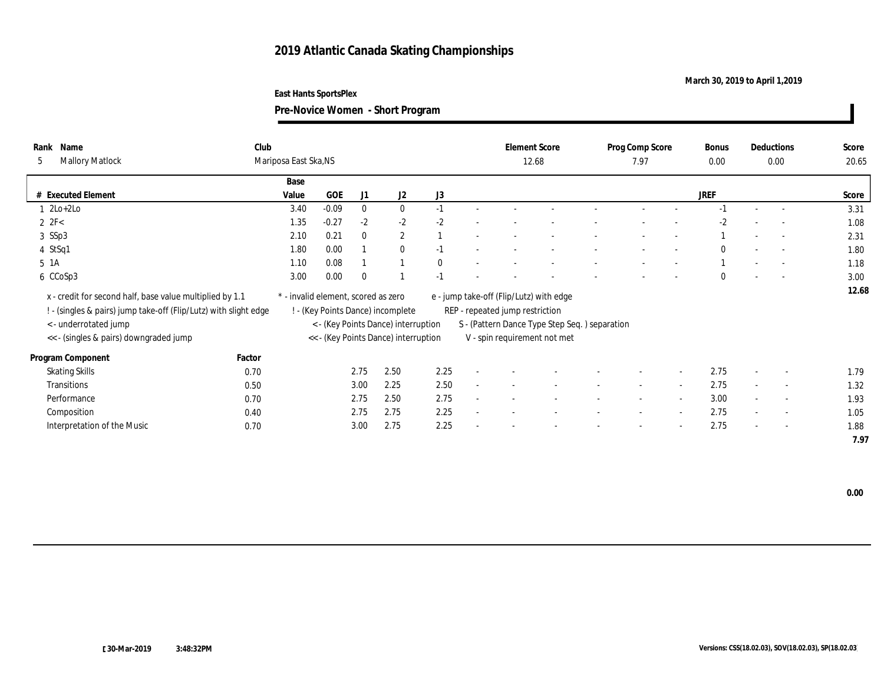### **March 30, 2019 to April 1,2019**

**Pre-Novice Women - Short Program**

| Name<br>Rank<br><b>Mallory Matlock</b><br>5                                                                                | Club   | Mariposa East Ska, NS               |            |              |                                      |              |                                                                            | <b>Element Score</b><br>12.68 |        | Prog Comp Score<br>7.97  |                          | Bonus<br>0.00 |                          | <b>Deductions</b><br>0.00 | Score<br>20.65 |
|----------------------------------------------------------------------------------------------------------------------------|--------|-------------------------------------|------------|--------------|--------------------------------------|--------------|----------------------------------------------------------------------------|-------------------------------|--------|--------------------------|--------------------------|---------------|--------------------------|---------------------------|----------------|
|                                                                                                                            |        | Base                                |            |              |                                      |              |                                                                            |                               |        |                          |                          |               |                          |                           |                |
| # Executed Element                                                                                                         |        | Value                               | <b>GOE</b> | J1           | J2                                   | J3           |                                                                            |                               |        |                          |                          | JREF          |                          |                           | Score          |
| $l$ 2Lo+2Lo                                                                                                                |        | 3.40                                | $-0.09$    | $\mathbf{0}$ | $\bf{0}$                             | $-1$         |                                                                            |                               |        |                          |                          | $-1$          |                          |                           | 3.31           |
| $2 \text{ } 2\text{F} < 2\text{ }$                                                                                         |        | 1.35                                | $-0.27$    | $-2$         | $-2$                                 | $-2$         |                                                                            |                               |        |                          |                          | $-2$          |                          | $\overline{\phantom{a}}$  | 1.08           |
| 3 SSp3                                                                                                                     |        | 2.10                                | 0.21       | $\bf{0}$     | $\mathbf{2}$                         |              |                                                                            |                               |        |                          |                          |               |                          | $\sim$                    | 2.31           |
| 4 StSq1                                                                                                                    |        | 1.80                                | 0.00       |              | $\mathbf{0}$                         | $-1$         |                                                                            |                               |        |                          |                          | $\mathbf{0}$  |                          | $\sim$                    | 1.80           |
| 5 1A                                                                                                                       |        | 1.10                                | 0.08       |              |                                      | $\mathbf{0}$ |                                                                            |                               |        |                          |                          |               |                          |                           | 1.18           |
| 6 CCoSp3                                                                                                                   |        | 3.00                                | 0.00       | $\theta$     |                                      | $-1$         |                                                                            |                               |        |                          |                          | $\mathbf{0}$  | $\overline{\phantom{a}}$ | $\sim$                    | 3.00           |
| x - credit for second half, base value multiplied by 1.1<br>. (singles & pairs) jump take-off (Flip/Lutz) with slight edge |        | * - invalid element, scored as zero |            |              | - (Key Points Dance) incomplete      |              | e - jump take-off (Flip/Lutz) with edge<br>REP - repeated jump restriction |                               |        |                          |                          |               |                          |                           | 12.68          |
| < - underrotated jump                                                                                                      |        |                                     |            |              | < - (Key Points Dance) interruption  |              | S - (Pattern Dance Type Step Seq.) separation                              |                               |        |                          |                          |               |                          |                           |                |
| << - (singles & pairs) downgraded jump                                                                                     |        |                                     |            |              | << - (Key Points Dance) interruption |              | V - spin requirement not met                                               |                               |        |                          |                          |               |                          |                           |                |
| Program Component                                                                                                          | Factor |                                     |            |              |                                      |              |                                                                            |                               |        |                          |                          |               |                          |                           |                |
| <b>Skating Skills</b>                                                                                                      | 0.70   |                                     |            | 2.75         | 2.50                                 | 2.25         |                                                                            |                               |        | $\overline{\phantom{a}}$ | $\overline{\phantom{a}}$ | 2.75          | $\sim$                   | $\overline{\phantom{a}}$  | 1.79           |
| <b>Transitions</b>                                                                                                         | 0.50   |                                     |            | 3.00         | 2.25                                 | 2.50         |                                                                            |                               |        | $\overline{\phantom{a}}$ | $\sim$                   | 2.75          | $\sim$                   | $\overline{\phantom{a}}$  | 1.32           |
| Performance                                                                                                                | 0.70   |                                     |            | 2.75         | 2.50                                 | 2.75         |                                                                            |                               | $\sim$ | $\sim$                   | $\sim$                   | 3.00          | $\sim$                   | $\sim$                    | 1.93           |
| Composition                                                                                                                | 0.40   |                                     |            | 2.75         | 2.75                                 | 2.25         |                                                                            |                               |        |                          | $\overline{\phantom{a}}$ | 2.75          |                          | $\overline{\phantom{a}}$  | 1.05           |
| Interpretation of the Music                                                                                                | 0.70   |                                     |            | 3.00         | 2.75                                 | 2.25         |                                                                            |                               |        | $\overline{\phantom{a}}$ | $\overline{\phantom{a}}$ | 2.75          | $\sim$                   | $\overline{\phantom{a}}$  | 1.88           |
|                                                                                                                            |        |                                     |            |              |                                      |              |                                                                            |                               |        |                          |                          |               |                          |                           | 7.97           |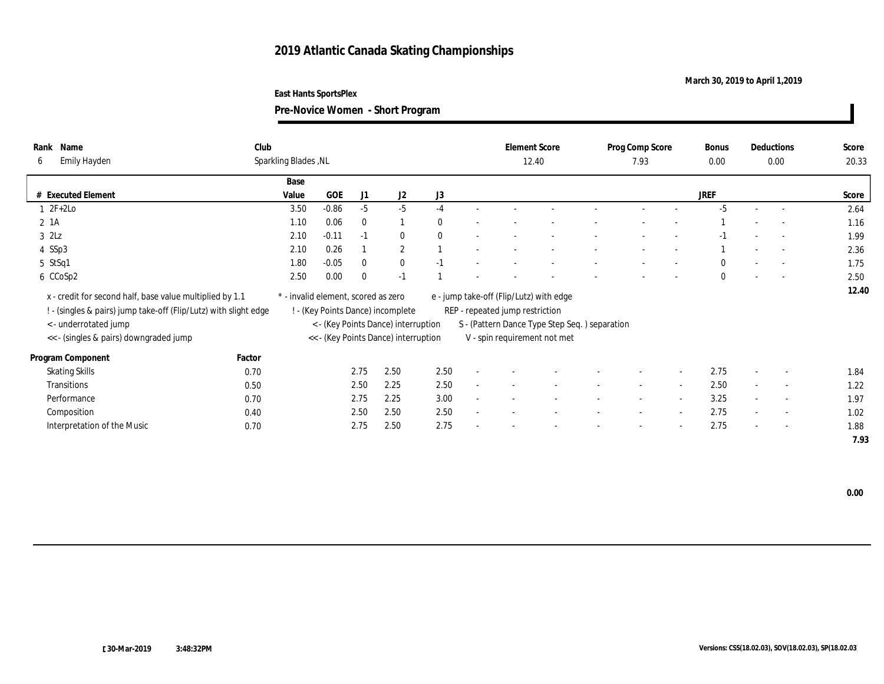### **March 30, 2019 to April 1,2019**

**Pre-Novice Women - Short Program**

| Name<br>Rank<br>Emily Hayden<br>6                                                                                            | Club   | Sparkling Blades, NL                |            |              |                                      |                |        | <b>Element Score</b>                                                       | 12.40 | Prog Comp Score<br>7.93  |                          | Bonus<br>0.00 |                          | Deductions<br>0.00       | Score<br>20.33 |
|------------------------------------------------------------------------------------------------------------------------------|--------|-------------------------------------|------------|--------------|--------------------------------------|----------------|--------|----------------------------------------------------------------------------|-------|--------------------------|--------------------------|---------------|--------------------------|--------------------------|----------------|
|                                                                                                                              |        | Base                                |            |              |                                      |                |        |                                                                            |       |                          |                          |               |                          |                          |                |
| # Executed Element                                                                                                           |        | Value                               | <b>GOE</b> | J1           | J2                                   | J <sub>3</sub> |        |                                                                            |       |                          |                          | <b>JREF</b>   |                          |                          | Score          |
| $2F+2Lo$                                                                                                                     |        | 3.50                                | $-0.86$    | $-5$         | $-5$                                 | $-4$           |        |                                                                            |       | $\overline{\phantom{a}}$ |                          | $-5$          | $\sim$                   | $\sim$                   | 2.64           |
| 2 1A                                                                                                                         |        | 1.10                                | 0.06       | $\mathbf{0}$ |                                      | $\mathbf{0}$   |        |                                                                            |       |                          |                          |               |                          |                          | 1.16           |
| $3$ $2\text{L}z$                                                                                                             |        | 2.10                                | $-0.11$    | $-1$         | $\bf{0}$                             | $\mathbf{0}$   |        |                                                                            |       |                          |                          | $-1$          |                          |                          | 1.99           |
| 4 SSp3                                                                                                                       |        | 2.10                                | 0.26       |              | $\mathbf{2}$                         |                |        |                                                                            |       |                          |                          |               |                          |                          | 2.36           |
| $5$ StSq1                                                                                                                    |        | 1.80                                | $-0.05$    | $\theta$     | $\bf{0}$                             | $-1$           |        |                                                                            |       |                          |                          | $\Omega$      |                          | $\overline{\phantom{a}}$ | 1.75           |
| 6 CCoSp2                                                                                                                     |        | 2.50                                | 0.00       | $\Omega$     | $-1$                                 |                |        |                                                                            |       |                          |                          | $\mathbf{0}$  | $\sim$                   | $\sim$                   | 2.50           |
| x - credit for second half, base value multiplied by 1.1<br>! - (singles & pairs) jump take-off (Flip/Lutz) with slight edge |        | * - invalid element, scored as zero |            |              | ! - (Key Points Dance) incomplete    |                |        | e - jump take-off (Flip/Lutz) with edge<br>REP - repeated jump restriction |       |                          |                          |               |                          |                          | 12.40          |
| < - underrotated jump                                                                                                        |        |                                     |            |              | < - (Key Points Dance) interruption  |                |        | S - (Pattern Dance Type Step Seq.) separation                              |       |                          |                          |               |                          |                          |                |
| << - (singles & pairs) downgraded jump                                                                                       |        |                                     |            |              | << - (Key Points Dance) interruption |                |        | V - spin requirement not met                                               |       |                          |                          |               |                          |                          |                |
| Program Component                                                                                                            | Factor |                                     |            |              |                                      |                |        |                                                                            |       |                          |                          |               |                          |                          |                |
| <b>Skating Skills</b>                                                                                                        | 0.70   |                                     |            | 2.75         | 2.50                                 | 2.50           | $\sim$ |                                                                            |       |                          | $\sim$                   | 2.75          | $\sim$                   | $\overline{\phantom{a}}$ | 1.84           |
| <b>Transitions</b>                                                                                                           | 0.50   |                                     |            | 2.50         | 2.25                                 | 2.50           |        |                                                                            |       |                          | $\overline{\phantom{a}}$ | 2.50          | $\sim$                   | $\overline{\phantom{a}}$ | 1.22           |
| Performance                                                                                                                  | 0.70   |                                     |            | 2.75         | 2.25                                 | 3.00           |        |                                                                            |       | $\overline{\phantom{a}}$ | $\sim$                   | 3.25          | $\overline{\phantom{a}}$ | $\sim$                   | 1.97           |
| Composition                                                                                                                  | 0.40   |                                     |            | 2.50         | 2.50                                 | 2.50           |        |                                                                            |       |                          | $\overline{\phantom{a}}$ | 2.75          |                          | $\overline{\phantom{a}}$ | 1.02           |
| Interpretation of the Music                                                                                                  | 0.70   |                                     |            | 2.75         | 2.50                                 | 2.75           |        |                                                                            |       | -                        | $\sim$                   | 2.75          | $\overline{\phantom{a}}$ | $\sim$                   | 1.88           |
|                                                                                                                              |        |                                     |            |              |                                      |                |        |                                                                            |       |                          |                          |               |                          |                          | 7.93           |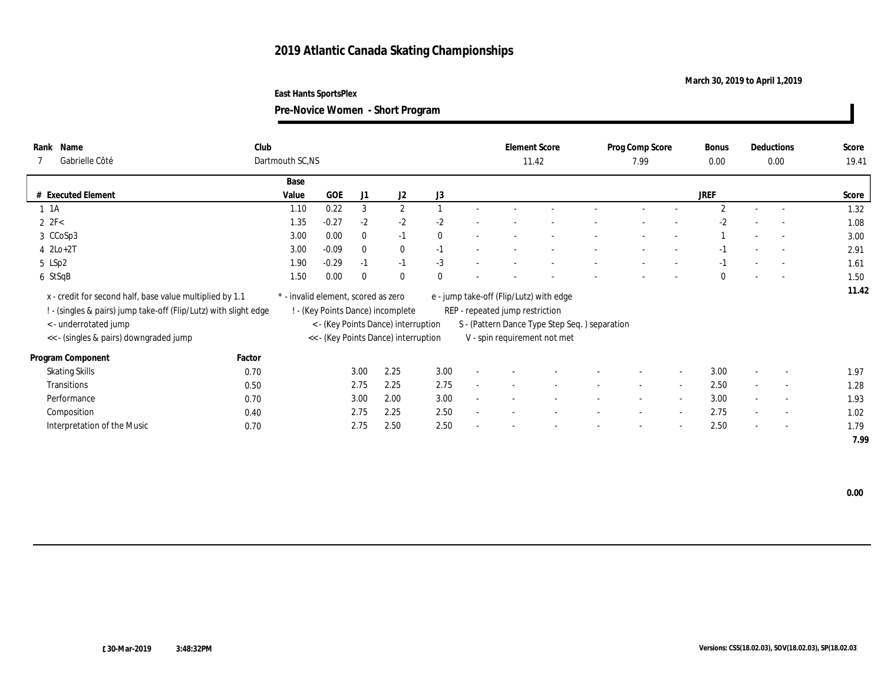### **March 30, 2019 to April 1,2019**

**East Hants SportsPlex**

| Club<br>Name<br>Rank<br>Gabrielle Côté<br>7                                                                                  | Dartmouth SC, NS                    |         |              |                                      |              |        | <b>Element Score</b><br>11.42                                              |  | Prog Comp Score<br>7.99  |                | <b>Bonus</b><br>0.00 |                          | Deductions<br>0.00       | Score<br>19.41 |
|------------------------------------------------------------------------------------------------------------------------------|-------------------------------------|---------|--------------|--------------------------------------|--------------|--------|----------------------------------------------------------------------------|--|--------------------------|----------------|----------------------|--------------------------|--------------------------|----------------|
|                                                                                                                              | Base                                |         |              |                                      |              |        |                                                                            |  |                          |                |                      |                          |                          |                |
| # Executed Element                                                                                                           | Value                               | GOE     | J1           | J <sub>2</sub>                       | J3           |        |                                                                            |  |                          |                | <b>JREF</b>          |                          |                          | Score          |
| $1 \t1A$                                                                                                                     | 1.10                                | 0.22    | 3            | $\boldsymbol{2}$                     |              |        |                                                                            |  |                          |                | $\overline{2}$       |                          | $\sim$                   | 1.32           |
| $2 \text{ } 2\text{F} < 2\text{ }$                                                                                           | 1.35                                | $-0.27$ | $-2$         | $-2$                                 | $-2$         |        |                                                                            |  |                          |                | $-2$                 |                          |                          | 1.08           |
| 3 CCoSp3                                                                                                                     | 3.00                                | 0.00    | $\mathbf{0}$ | $-1$                                 | $\mathbf{0}$ |        |                                                                            |  |                          |                |                      |                          | $\overline{a}$           | 3.00           |
| $4 \text{ } 2\text{Lo}+2\text{T}$                                                                                            | 3.00                                | $-0.09$ | $\mathbf{0}$ | $\bf{0}$                             | $-1$         |        |                                                                            |  |                          |                | $-1$                 |                          | $\overline{a}$           | 2.91           |
| 5 LSp2                                                                                                                       | 1.90                                | $-0.29$ | $-1$         | $-1$                                 | $-3$         |        |                                                                            |  |                          |                | $-1$                 |                          | $\sim$                   | 1.61           |
| 6 StSqB                                                                                                                      | 1.50                                | 0.00    | $\Omega$     | $\mathbf{0}$                         | $\mathbf{0}$ |        |                                                                            |  |                          |                | $\mathbf{0}$         | $\overline{\phantom{a}}$ | $\sim$                   | 1.50           |
| x - credit for second half, base value multiplied by 1.1<br>! - (singles & pairs) jump take-off (Flip/Lutz) with slight edge | * - invalid element, scored as zero |         |              | ! - (Key Points Dance) incomplete    |              |        | e - jump take-off (Flip/Lutz) with edge<br>REP - repeated jump restriction |  |                          |                |                      |                          |                          | 11.42          |
| < - underrotated jump                                                                                                        |                                     |         |              | < - (Key Points Dance) interruption  |              |        | S - (Pattern Dance Type Step Seq. ) separation                             |  |                          |                |                      |                          |                          |                |
| << - (singles & pairs) downgraded jump                                                                                       |                                     |         |              | << - (Key Points Dance) interruption |              |        | V - spin requirement not met                                               |  |                          |                |                      |                          |                          |                |
| Factor<br>Program Component                                                                                                  |                                     |         |              |                                      |              |        |                                                                            |  |                          |                |                      |                          |                          |                |
| <b>Skating Skills</b><br>0.70                                                                                                |                                     |         | 3.00         | 2.25                                 | 3.00         | $\sim$ |                                                                            |  |                          | $\overline{a}$ | 3.00                 |                          | $\overline{\phantom{a}}$ | 1.97           |
| Transitions<br>0.50                                                                                                          |                                     |         | 2.75         | 2.25                                 | 2.75         | $\sim$ |                                                                            |  | $\sim$                   | $\sim$         | 2.50                 | $\sim$                   | $\sim$                   | 1.28           |
| Performance<br>0.70                                                                                                          |                                     |         | 3.00         | 2.00                                 | 3.00         |        |                                                                            |  | $\overline{\phantom{a}}$ | $\sim$         | 3.00                 | $\sim$                   | $\sim$                   | 1.93           |
| Composition<br>0.40                                                                                                          |                                     |         | 2.75         | 2.25                                 | 2.50         |        |                                                                            |  | $\overline{\phantom{a}}$ | $\sim$         | 2.75                 | $\sim$                   | $\overline{\phantom{a}}$ | 1.02           |
| Interpretation of the Music<br>0.70                                                                                          |                                     |         | 2.75         | 2.50                                 | 2.50         |        |                                                                            |  |                          | $\sim$         | 2.50                 |                          | $\overline{\phantom{a}}$ | 1.79           |
|                                                                                                                              |                                     |         |              |                                      |              |        |                                                                            |  |                          |                |                      |                          |                          | 7.99           |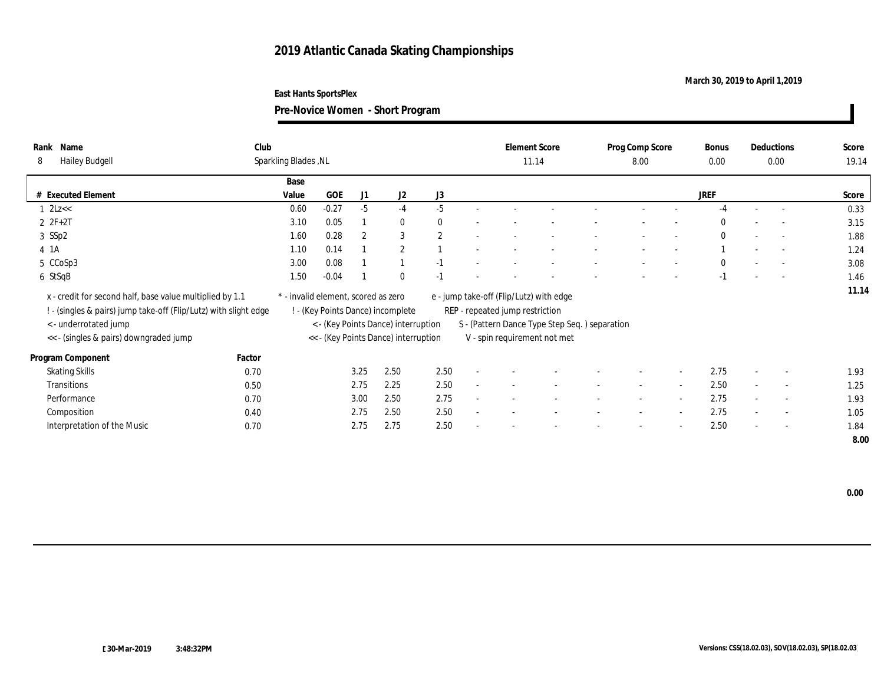### **March 30, 2019 to April 1,2019**

**Pre-Novice Women - Short Program**

| Name<br>Rank<br><b>Hailey Budgell</b><br>8                                                                                   | Club   | Sparkling Blades, NL |                                     |                |                                      |                |        | <b>Element Score</b><br>11.14                                              |  | Prog Comp Score<br>8.00  |                          | Bonus<br>0.00 |                          | Deductions<br>0.00       | Score<br>19.14 |
|------------------------------------------------------------------------------------------------------------------------------|--------|----------------------|-------------------------------------|----------------|--------------------------------------|----------------|--------|----------------------------------------------------------------------------|--|--------------------------|--------------------------|---------------|--------------------------|--------------------------|----------------|
|                                                                                                                              |        | Base                 |                                     |                |                                      |                |        |                                                                            |  |                          |                          |               |                          |                          |                |
| # Executed Element                                                                                                           |        | Value                | <b>GOE</b>                          | J1             | J2                                   | J <sub>3</sub> |        |                                                                            |  |                          |                          | <b>JREF</b>   |                          |                          | Score          |
| 2Lz <                                                                                                                        |        | 0.60                 | $-0.27$                             | $-5$           | $-4$                                 | $-5$           |        |                                                                            |  |                          |                          | $-4$          | $\sim$                   | $\sim$                   | 0.33           |
| $2 F + 2T$                                                                                                                   |        | 3.10                 | 0.05                                |                | $\bf{0}$                             | $\bf{0}$       |        |                                                                            |  |                          |                          | $\Omega$      |                          | $\overline{\phantom{a}}$ | 3.15           |
| 3 SSp2                                                                                                                       |        | 1.60                 | 0.28                                | $\overline{2}$ | 3                                    | 2              |        |                                                                            |  |                          | $\overline{\phantom{a}}$ | $\mathbf{0}$  |                          | $\overline{\phantom{a}}$ | 1.88           |
| $4 \; 1A$                                                                                                                    |        | 1.10                 | 0.14                                |                | $\mathbf{2}$                         |                |        |                                                                            |  |                          |                          |               |                          | $\sim$                   | 1.24           |
| 5 CCoSp3                                                                                                                     |        | 3.00                 | 0.08                                |                |                                      | $-1$           |        |                                                                            |  |                          |                          | $\Omega$      |                          | $\overline{\phantom{a}}$ | 3.08           |
| 6 StSqB                                                                                                                      |        | 1.50                 | $-0.04$                             |                | $\mathbf{0}$                         | $-1$           |        |                                                                            |  |                          | $\overline{\phantom{a}}$ | $-1$          | $\sim$                   | $\sim$                   | 1.46           |
| x - credit for second half, base value multiplied by 1.1<br>! - (singles & pairs) jump take-off (Flip/Lutz) with slight edge |        |                      | * - invalid element, scored as zero |                | ! - (Key Points Dance) incomplete    |                |        | e - jump take-off (Flip/Lutz) with edge<br>REP - repeated jump restriction |  |                          |                          |               |                          |                          | 11.14          |
| < - underrotated jump                                                                                                        |        |                      |                                     |                | < - (Key Points Dance) interruption  |                |        | S - (Pattern Dance Type Step Seq.) separation                              |  |                          |                          |               |                          |                          |                |
| << - (singles & pairs) downgraded jump                                                                                       |        |                      |                                     |                | << - (Key Points Dance) interruption |                |        | V - spin requirement not met                                               |  |                          |                          |               |                          |                          |                |
| Program Component                                                                                                            | Factor |                      |                                     |                |                                      |                |        |                                                                            |  |                          |                          |               |                          |                          |                |
| <b>Skating Skills</b>                                                                                                        | 0.70   |                      |                                     | 3.25           | 2.50                                 | 2.50           | $\sim$ |                                                                            |  |                          | $\sim$                   | 2.75          | $\overline{\phantom{a}}$ | $\overline{\phantom{a}}$ | 1.93           |
| Transitions                                                                                                                  | 0.50   |                      |                                     | 2.75           | 2.25                                 | 2.50           |        |                                                                            |  |                          | $\overline{\phantom{a}}$ | 2.50          | $\sim$                   | $\overline{\phantom{a}}$ | 1.25           |
| Performance                                                                                                                  | 0.70   |                      |                                     | 3.00           | 2.50                                 | 2.75           |        |                                                                            |  | $\overline{\phantom{a}}$ | $\sim$                   | 2.75          | $\overline{\phantom{a}}$ | $\sim$                   | 1.93           |
| Composition                                                                                                                  | 0.40   |                      |                                     | 2.75           | 2.50                                 | 2.50           |        |                                                                            |  |                          | $\sim$                   | 2.75          |                          | $\overline{\phantom{a}}$ | 1.05           |
| Interpretation of the Music                                                                                                  | 0.70   |                      |                                     | 2.75           | 2.75                                 | 2.50           |        |                                                                            |  | -                        | $\sim$                   | 2.50          | $\overline{\phantom{a}}$ | $\sim$                   | 1.84           |
|                                                                                                                              |        |                      |                                     |                |                                      |                |        |                                                                            |  |                          |                          |               |                          |                          | 8.00           |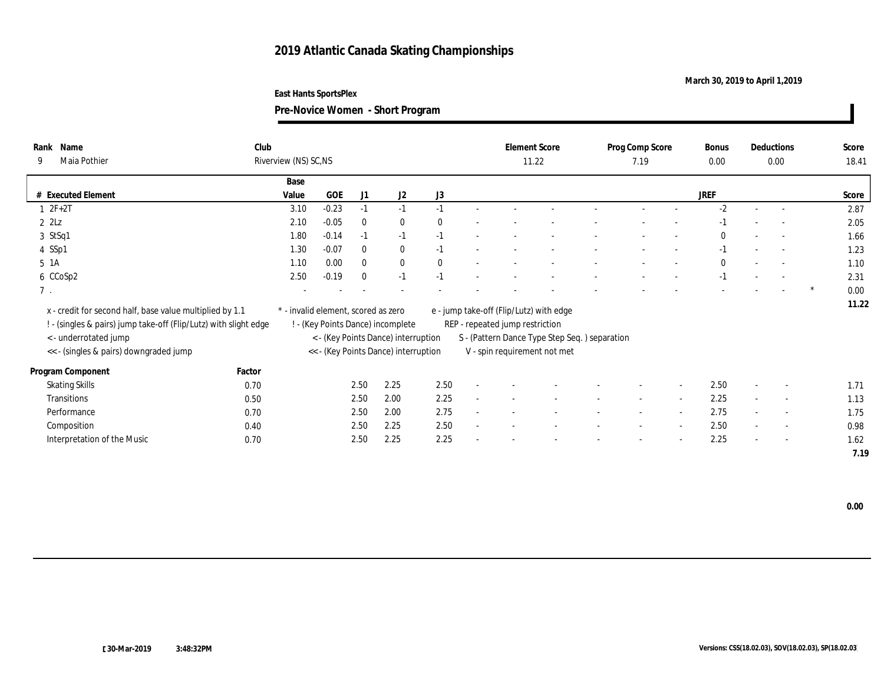### **March 30, 2019 to April 1,2019**

**East Hants SportsPlex**

**Pre-Novice Women - Short Program**

| Rank Name<br>Maia Pothier<br>9                                                                                                                        | Club   | Riverview (NS) SC, NS               |         |              |                                                                          |              |                                 | <b>Element Score</b><br>11.22                                                            | Prog Comp Score<br>7.19 |        | Bonus<br>$0.00\,$ |                          | Deductions<br>0.00 | Score<br>18.41 |
|-------------------------------------------------------------------------------------------------------------------------------------------------------|--------|-------------------------------------|---------|--------------|--------------------------------------------------------------------------|--------------|---------------------------------|------------------------------------------------------------------------------------------|-------------------------|--------|-------------------|--------------------------|--------------------|----------------|
|                                                                                                                                                       |        | Base                                |         |              |                                                                          |              |                                 |                                                                                          |                         |        |                   |                          |                    |                |
| # Executed Element                                                                                                                                    |        | Value                               | GOE     | J1           | J2                                                                       | J3           |                                 |                                                                                          |                         |        | <b>JREF</b>       |                          |                    | Score          |
| $2F+2T$                                                                                                                                               |        | 3.10                                | $-0.23$ | $-1$         | $-1$                                                                     | $-1$         |                                 |                                                                                          |                         |        | $-2$              |                          |                    | 2.87           |
| $2$ $2$ Lz                                                                                                                                            |        | 2.10                                | $-0.05$ | $\mathbf{0}$ | $\bf{0}$                                                                 | $\theta$     |                                 |                                                                                          |                         |        | $-1$              |                          | $\sim$             | 2.05           |
| $3$ StSq1                                                                                                                                             |        | 1.80                                | $-0.14$ | $-1$         | $-1$                                                                     | $-1$         |                                 |                                                                                          |                         |        | $\Omega$          |                          |                    | 1.66           |
| 4 SSp1                                                                                                                                                |        | 1.30                                | $-0.07$ | $\bf{0}$     | $\bf{0}$                                                                 | $-1$         |                                 |                                                                                          |                         |        | $-1$              |                          | $\overline{a}$     | 1.23           |
| 5 1A                                                                                                                                                  |        | 1.10                                | 0.00    | $\mathbf{0}$ | $\bf{0}$                                                                 | $\mathbf{0}$ |                                 |                                                                                          |                         |        | $\bf{0}$          |                          |                    | 1.10           |
| 6 CCoSp2                                                                                                                                              |        | 2.50                                | $-0.19$ | $\theta$     | $-1$                                                                     | $-1$         |                                 |                                                                                          |                         |        | $-1$              |                          | $\sim$             | 2.31           |
| $7$ .                                                                                                                                                 |        |                                     |         |              |                                                                          |              |                                 |                                                                                          |                         |        |                   |                          |                    | 0.00           |
| x - credit for second half, base value multiplied by 1.1<br>! - (singles & pairs) jump take-off (Flip/Lutz) with slight edge<br>< - underrotated jump |        | * - invalid element, scored as zero |         |              | ! - (Key Points Dance) incomplete<br>< - (Key Points Dance) interruption |              | REP - repeated jump restriction | e - jump take-off (Flip/Lutz) with edge<br>S - (Pattern Dance Type Step Seq.) separation |                         |        |                   |                          |                    | 11.22          |
| << - (singles & pairs) downgraded jump                                                                                                                |        |                                     |         |              | << - (Key Points Dance) interruption                                     |              |                                 | V - spin requirement not met                                                             |                         |        |                   |                          |                    |                |
| Program Component                                                                                                                                     | Factor |                                     |         |              |                                                                          |              |                                 |                                                                                          |                         |        |                   |                          |                    |                |
| <b>Skating Skills</b>                                                                                                                                 | 0.70   |                                     |         | 2.50         | 2.25                                                                     | 2.50         |                                 |                                                                                          |                         | $\sim$ | 2.50              | $\overline{\phantom{a}}$ | $\sim$             | 1.71           |
| Transitions                                                                                                                                           | 0.50   |                                     |         | 2.50         | 2.00                                                                     | 2.25         |                                 |                                                                                          |                         | $\sim$ | 2.25              |                          | $\sim$             | 1.13           |
| Performance                                                                                                                                           | 0.70   |                                     |         | 2.50         | 2.00                                                                     | 2.75         |                                 |                                                                                          | $\sim$                  | $\sim$ | 2.75              | $\sim$                   | $\sim$             | 1.75           |
| Composition                                                                                                                                           | 0.40   |                                     |         | 2.50         | 2.25                                                                     | 2.50         |                                 |                                                                                          |                         |        | 2.50              |                          | $\sim$             | 0.98           |
| Interpretation of the Music                                                                                                                           | 0.70   |                                     |         | 2.50         | 2.25                                                                     | 2.25         |                                 |                                                                                          |                         | $\sim$ | 2.25              | $\overline{\phantom{a}}$ | $\sim$             | 1.62           |
|                                                                                                                                                       |        |                                     |         |              |                                                                          |              |                                 |                                                                                          |                         |        |                   |                          |                    | 7.19           |

 **0.00**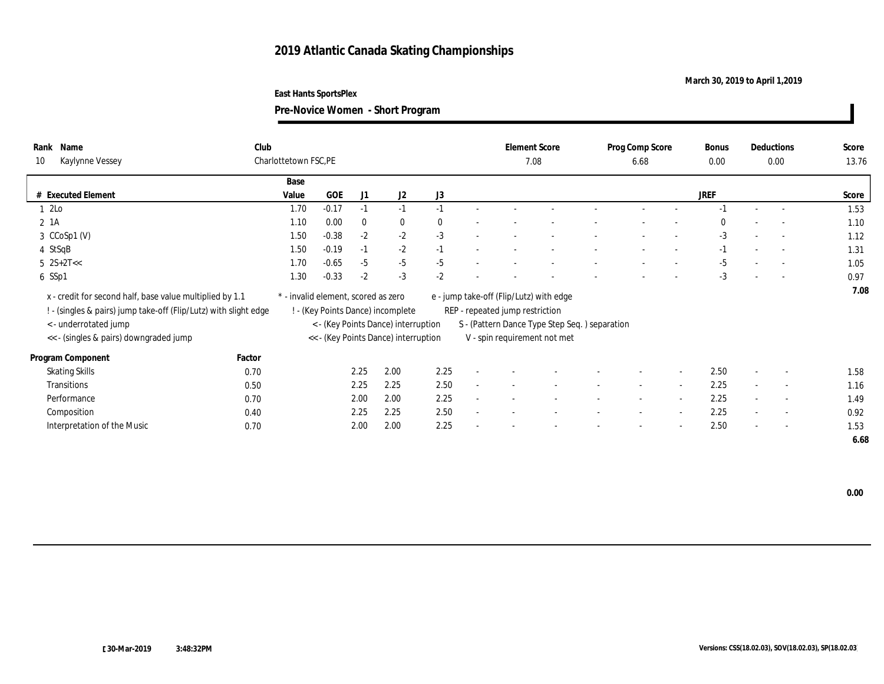### **March 30, 2019 to April 1,2019**

**East Hants SportsPlex**

| Name<br>Rank<br>Kaylynne Vessey<br>10                                                                                                                 | Club   | Charlottetown FSC, PE |                                     |          |                                                                          |          | <b>Element Score</b><br>7.08                                               |                                               |        | Prog Comp Score<br>6.68  |                          | <b>Bonus</b><br>0.00 |                          | Deductions<br>0.00       | Score<br>13.76 |
|-------------------------------------------------------------------------------------------------------------------------------------------------------|--------|-----------------------|-------------------------------------|----------|--------------------------------------------------------------------------|----------|----------------------------------------------------------------------------|-----------------------------------------------|--------|--------------------------|--------------------------|----------------------|--------------------------|--------------------------|----------------|
|                                                                                                                                                       |        | Base                  |                                     |          |                                                                          |          |                                                                            |                                               |        |                          |                          |                      |                          |                          |                |
| # Executed Element                                                                                                                                    |        | Value                 | GOE                                 | J1       | J2                                                                       | J3       |                                                                            |                                               |        |                          |                          | <b>JREF</b>          |                          |                          | Score          |
| 1 2Lo                                                                                                                                                 |        | 1.70                  | $-0.17$                             | $-1$     | $-1$                                                                     | $-1$     |                                                                            |                                               |        |                          |                          | $-1$                 |                          | $\sim$                   | 1.53           |
| 2 1A                                                                                                                                                  |        | 1.10                  | 0.00                                | $\bf{0}$ | $\bf{0}$                                                                 | $\bf{0}$ |                                                                            |                                               |        |                          |                          | $\bf{0}$             |                          |                          | 1.10           |
| $3$ CCoSp1 (V)                                                                                                                                        |        | 1.50                  | $-0.38$                             | $-2$     | $-2$                                                                     | $-3$     |                                                                            |                                               |        |                          |                          | $-3$                 |                          | $\overline{\phantom{a}}$ | 1.12           |
| 4 StSqB                                                                                                                                               |        | 1.50                  | $-0.19$                             | $-1$     | $-2$                                                                     | $-1$     |                                                                            |                                               |        |                          |                          | $-1$                 |                          | $\sim$                   | 1.31           |
| $5 \ 2S+2T<<$                                                                                                                                         |        | 1.70                  | $-0.65$                             | $-5$     | $-5$                                                                     | $-5$     |                                                                            |                                               |        |                          |                          | $-5$                 |                          | $\sim$                   | 1.05           |
| 6 SSp1                                                                                                                                                |        | 1.30                  | $-0.33$                             | $-2$     | $-3$                                                                     | $-2$     |                                                                            |                                               |        |                          |                          | $-3$                 | $\overline{\phantom{a}}$ | $\overline{\phantom{a}}$ | 0.97           |
| x - credit for second half, base value multiplied by 1.1<br>: - (singles & pairs) jump take-off (Flip/Lutz) with slight edge<br>< - underrotated jump |        |                       | * - invalid element, scored as zero |          | ! - (Key Points Dance) incomplete<br>< - (Key Points Dance) interruption |          | e - jump take-off (Flip/Lutz) with edge<br>REP - repeated jump restriction | S - (Pattern Dance Type Step Seq.) separation |        |                          |                          |                      |                          |                          | 7.08           |
| << - (singles & pairs) downgraded jump                                                                                                                |        |                       |                                     |          | << - (Key Points Dance) interruption                                     |          | V - spin requirement not met                                               |                                               |        |                          |                          |                      |                          |                          |                |
| Program Component                                                                                                                                     | Factor |                       |                                     |          |                                                                          |          |                                                                            |                                               |        |                          |                          |                      |                          |                          |                |
| <b>Skating Skills</b>                                                                                                                                 | 0.70   |                       |                                     | 2.25     | 2.00                                                                     | 2.25     |                                                                            |                                               |        | $\overline{\phantom{a}}$ | $\overline{a}$           | 2.50                 | $\sim$                   | $\overline{\phantom{a}}$ | 1.58           |
| Transitions                                                                                                                                           |        |                       |                                     | 2.25     | 2.25                                                                     | 2.50     |                                                                            |                                               |        | $\overline{\phantom{a}}$ | $\sim$                   | 2.25                 | $\sim$                   | $\overline{\phantom{a}}$ | 1.16           |
| Performance                                                                                                                                           | 0.50   |                       |                                     | 2.00     | 2.00                                                                     | 2.25     |                                                                            |                                               |        |                          |                          | 2.25                 |                          |                          |                |
|                                                                                                                                                       | 0.70   |                       |                                     |          |                                                                          |          | $\overline{\phantom{a}}$                                                   |                                               | $\sim$ | $\sim$                   | $\sim$                   |                      | $\sim$                   | $\sim$                   | 1.49           |
| Composition                                                                                                                                           | 0.40   |                       |                                     | 2.25     | 2.25                                                                     | 2.50     |                                                                            |                                               |        |                          | $\sim$                   | 2.25                 |                          | $\overline{\phantom{a}}$ | 0.92           |
| Interpretation of the Music                                                                                                                           | 0.70   |                       |                                     | 2.00     | 2.00                                                                     | 2.25     |                                                                            |                                               |        | -                        | $\overline{\phantom{a}}$ | 2.50                 | $\sim$                   | $\overline{\phantom{a}}$ | 1.53           |
|                                                                                                                                                       |        |                       |                                     |          |                                                                          |          |                                                                            |                                               |        |                          |                          |                      |                          |                          | 6.68           |